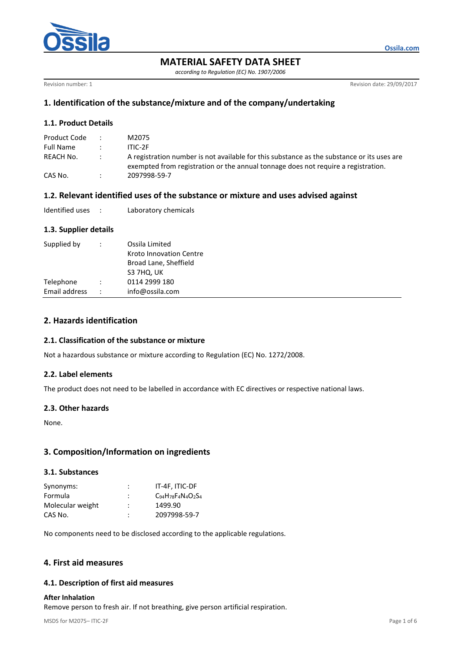

**MATERIAL SAFETY DATA SHEET**

*according to Regulation (EC) No. 1907/2006*

Revision number: 1 Revision date: 29/09/2017

**Ossila.com**

# **1. Identification of the substance/mixture and of the company/undertaking**

## **1.1. Product Details**

| Product Code | M2075                                                                                                                                                                           |
|--------------|---------------------------------------------------------------------------------------------------------------------------------------------------------------------------------|
| Full Name    | ITIC-2F                                                                                                                                                                         |
| REACH No.    | A registration number is not available for this substance as the substance or its uses are<br>exempted from registration or the annual tonnage does not require a registration. |
| CAS No.      | 2097998-59-7                                                                                                                                                                    |

## **1.2. Relevant identified uses of the substance or mixture and uses advised against**

| Identified uses |  | Laboratory chemicals |
|-----------------|--|----------------------|
|-----------------|--|----------------------|

### **1.3. Supplier details**

| Supplied by   |                      | Ossila Limited<br>Kroto Innovation Centre<br>Broad Lane, Sheffield<br>S3 7HQ, UK |
|---------------|----------------------|----------------------------------------------------------------------------------|
| Telephone     |                      | 0114 2999 180                                                                    |
| Email address | $\ddot{\phantom{0}}$ | info@ossila.com                                                                  |

# **2. Hazards identification**

### **2.1. Classification of the substance or mixture**

Not a hazardous substance or mixture according to Regulation (EC) No. 1272/2008.

#### **2.2. Label elements**

The product does not need to be labelled in accordance with EC directives or respective national laws.

#### **2.3. Other hazards**

None.

## **3. Composition/Information on ingredients**

#### **3.1. Substances**

| Synonyms:        | $\lambda$ | IT-4F, ITIC-DF                     |
|------------------|-----------|------------------------------------|
| Formula          |           | $C_{94}H_{78}F_{4}N_{4}O_{2}S_{4}$ |
| Molecular weight | :         | 1499.90                            |
| CAS No.          | ٠         | 2097998-59-7                       |

No components need to be disclosed according to the applicable regulations.

## **4. First aid measures**

#### **4.1. Description of first aid measures**

#### **After Inhalation**

Remove person to fresh air. If not breathing, give person artificial respiration.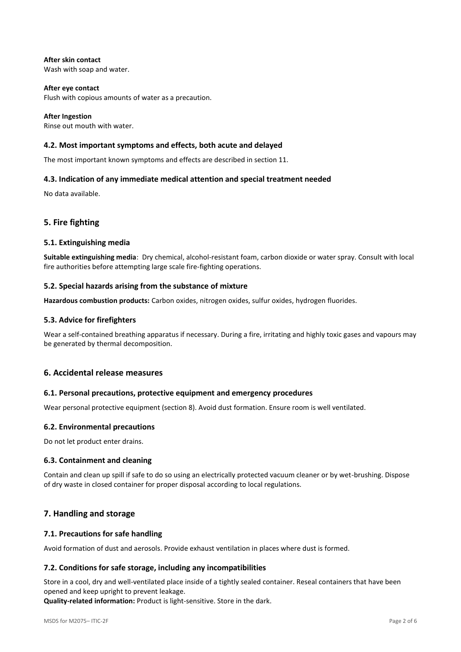#### **After skin contact** Wash with soap and water.

**After eye contact** Flush with copious amounts of water as a precaution.

**After Ingestion** Rinse out mouth with water.

# **4.2. Most important symptoms and effects, both acute and delayed**

The most important known symptoms and effects are described in section 11.

# **4.3. Indication of any immediate medical attention and special treatment needed**

No data available.

# **5. Fire fighting**

### **5.1. Extinguishing media**

**Suitable extinguishing media**: Dry chemical, alcohol-resistant foam, carbon dioxide or water spray. Consult with local fire authorities before attempting large scale fire-fighting operations.

### **5.2. Special hazards arising from the substance of mixture**

**Hazardous combustion products:** Carbon oxides, nitrogen oxides, sulfur oxides, hydrogen fluorides.

### **5.3. Advice for firefighters**

Wear a self-contained breathing apparatus if necessary. During a fire, irritating and highly toxic gases and vapours may be generated by thermal decomposition.

## **6. Accidental release measures**

#### **6.1. Personal precautions, protective equipment and emergency procedures**

Wear personal protective equipment (section 8). Avoid dust formation. Ensure room is well ventilated.

#### **6.2. Environmental precautions**

Do not let product enter drains.

#### **6.3. Containment and cleaning**

Contain and clean up spill if safe to do so using an electrically protected vacuum cleaner or by wet-brushing. Dispose of dry waste in closed container for proper disposal according to local regulations.

# **7. Handling and storage**

#### **7.1. Precautions for safe handling**

Avoid formation of dust and aerosols. Provide exhaust ventilation in places where dust is formed.

#### **7.2. Conditions for safe storage, including any incompatibilities**

Store in a cool, dry and well-ventilated place inside of a tightly sealed container. Reseal containers that have been opened and keep upright to prevent leakage.

**Quality-related information:** Product is light-sensitive. Store in the dark.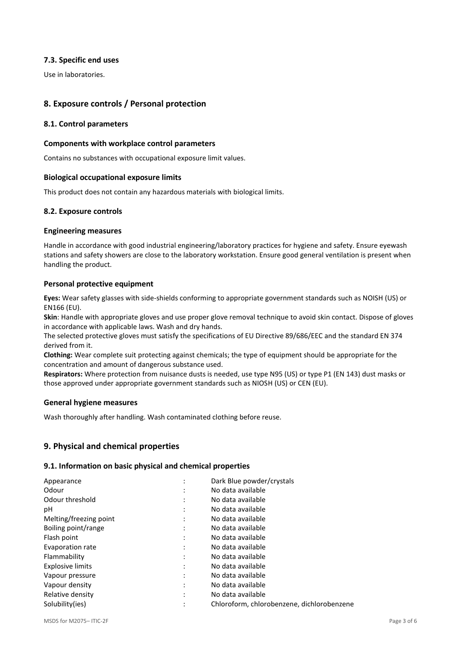### **7.3. Specific end uses**

Use in laboratories.

# **8. Exposure controls / Personal protection**

#### **8.1. Control parameters**

#### **Components with workplace control parameters**

Contains no substances with occupational exposure limit values.

### **Biological occupational exposure limits**

This product does not contain any hazardous materials with biological limits.

#### **8.2. Exposure controls**

#### **Engineering measures**

Handle in accordance with good industrial engineering/laboratory practices for hygiene and safety. Ensure eyewash stations and safety showers are close to the laboratory workstation. Ensure good general ventilation is present when handling the product.

#### **Personal protective equipment**

**Eyes:** Wear safety glasses with side-shields conforming to appropriate government standards such as NOISH (US) or EN166 (EU).

**Skin**: Handle with appropriate gloves and use proper glove removal technique to avoid skin contact. Dispose of gloves in accordance with applicable laws. Wash and dry hands.

The selected protective gloves must satisfy the specifications of EU Directive 89/686/EEC and the standard EN 374 derived from it.

**Clothing:** Wear complete suit protecting against chemicals; the type of equipment should be appropriate for the concentration and amount of dangerous substance used.

**Respirators:** Where protection from nuisance dusts is needed, use type N95 (US) or type P1 (EN 143) dust masks or those approved under appropriate government standards such as NIOSH (US) or CEN (EU).

#### **General hygiene measures**

Wash thoroughly after handling. Wash contaminated clothing before reuse.

## **9. Physical and chemical properties**

#### **9.1. Information on basic physical and chemical properties**

| ٠         |                                            |
|-----------|--------------------------------------------|
| $\bullet$ | Dark Blue powder/crystals                  |
| ٠         | No data available                          |
| ٠         | No data available                          |
| ٠         | No data available                          |
| ٠         | No data available                          |
|           | No data available                          |
| ٠         | No data available                          |
| ٠         | No data available                          |
| ٠         | No data available                          |
| ٠         | No data available                          |
| ٠         | No data available                          |
| ٠         | No data available                          |
| ٠         | No data available                          |
|           | Chloroform, chlorobenzene, dichlorobenzene |
|           |                                            |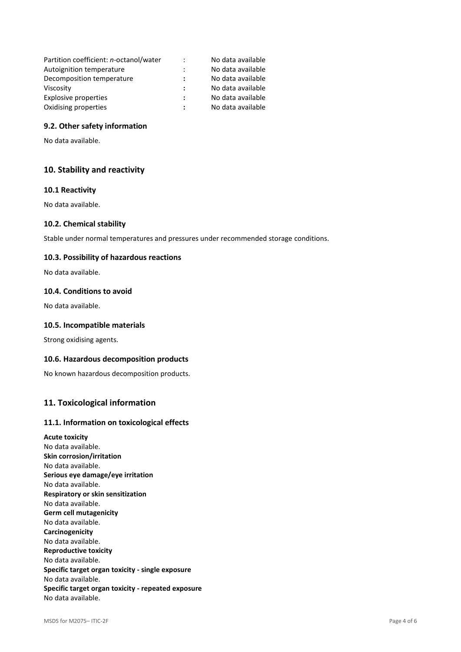| Partition coefficient: n-octanol/water | $\ddot{\cdot}$ | No data available |
|----------------------------------------|----------------|-------------------|
| Autoignition temperature               |                | No data available |
| Decomposition temperature              |                | No data available |
| Viscosity                              |                | No data available |
| Explosive properties                   | ÷              | No data available |
| Oxidising properties                   |                | No data available |

#### **9.2. Other safety information**

No data available.

## **10. Stability and reactivity**

#### **10.1 Reactivity**

No data available.

#### **10.2. Chemical stability**

Stable under normal temperatures and pressures under recommended storage conditions.

#### **10.3. Possibility of hazardous reactions**

No data available.

#### **10.4. Conditions to avoid**

No data available.

#### **10.5. Incompatible materials**

Strong oxidising agents.

#### **10.6. Hazardous decomposition products**

No known hazardous decomposition products.

### **11. Toxicological information**

#### **11.1. Information on toxicological effects**

**Acute toxicity** No data available. **Skin corrosion/irritation** No data available. **Serious eye damage/eye irritation** No data available. **Respiratory or skin sensitization** No data available. **Germ cell mutagenicity** No data available. **Carcinogenicity** No data available. **Reproductive toxicity** No data available. **Specific target organ toxicity - single exposure** No data available. **Specific target organ toxicity - repeated exposure** No data available.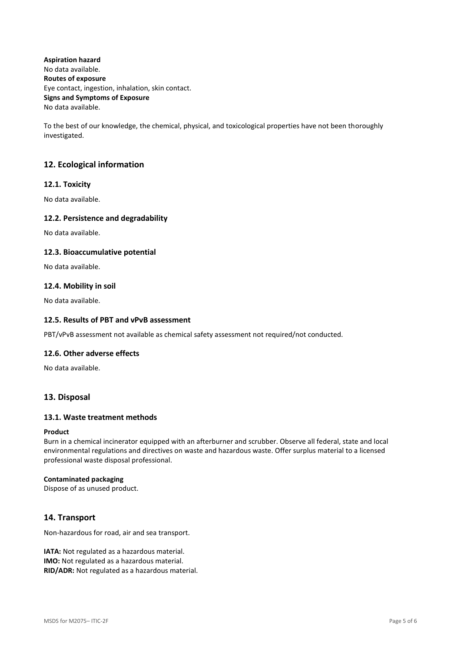**Aspiration hazard** No data available. **Routes of exposure** Eye contact, ingestion, inhalation, skin contact. **Signs and Symptoms of Exposure** No data available.

To the best of our knowledge, the chemical, physical, and toxicological properties have not been thoroughly investigated.

# **12. Ecological information**

### **12.1. Toxicity**

No data available.

#### **12.2. Persistence and degradability**

No data available.

#### **12.3. Bioaccumulative potential**

No data available.

### **12.4. Mobility in soil**

No data available.

#### **12.5. Results of PBT and vPvB assessment**

PBT/vPvB assessment not available as chemical safety assessment not required/not conducted.

#### **12.6. Other adverse effects**

No data available.

## **13. Disposal**

#### **13.1. Waste treatment methods**

#### **Product**

Burn in a chemical incinerator equipped with an afterburner and scrubber. Observe all federal, state and local environmental regulations and directives on waste and hazardous waste. Offer surplus material to a licensed professional waste disposal professional.

#### **Contaminated packaging**

Dispose of as unused product.

## **14. Transport**

Non-hazardous for road, air and sea transport.

**IATA:** Not regulated as a hazardous material. **IMO:** Not regulated as a hazardous material. **RID/ADR:** Not regulated as a hazardous material.